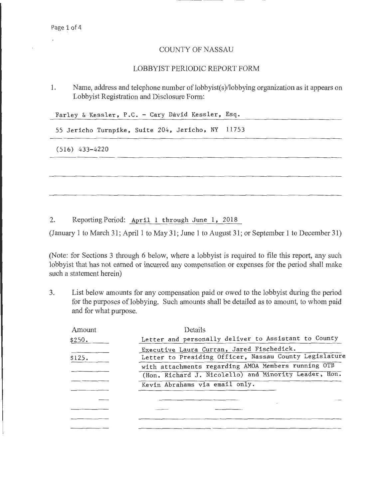## COUNTY OF NASSAU

## LOBBYIST PERIODIC REPORT FORM

1. Name, address and telephone number of lobbyist(s)/lobbying organization as it appears on Lobbyist Registration and Disclosure Form:

Farley & Kessler, P.C. - Cary David Kessler, Esq.

55 Jericho Turnpike, Suite 204, Jericho, NY 11753

(516) 433-4220

2. Reporting Period: April 1 through June 1, 2018

(January 1 to March 31; April 1 to May 31; June 1 to August 31; or September 1 to December 31)

(Note: for Sections 3 through 6 below, where a lobbyist is required to file this report, any such lobbyist that has not earned or incurred any compensation or expenses for the period shall make such a statement herein)

3. List below amounts for any compensation paid or owed to the lobbyist during the period for the purposes of lobbying. Such amounts shall be detailed as to amount, to whom paid and for what purpose.

| Amount | Details                                                                                                      |
|--------|--------------------------------------------------------------------------------------------------------------|
| \$250. | Letter and personally deliver to Assistant to County                                                         |
| \$125. | Executive Laura Curran, Jared Fischedick.<br>Letter to Presiding Officer, Nassau County Legislature          |
|        | with attachments regarding AMOA Members running OTB<br>(Hon. Richard J. Nicolello) and Minority Leader, Hon. |
|        | Kevin Abrahams via email only.                                                                               |
|        |                                                                                                              |
|        |                                                                                                              |
|        |                                                                                                              |
|        |                                                                                                              |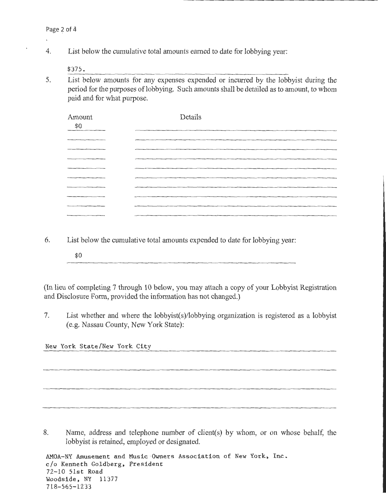l,

4. List below the cumulative total amounts earned to date for lobbying year:

\$375.

5. List below amounts for any expenses expended or incurred by the lobbyist during the period for the purposes of lobbying. Such amounts shall be detailed as to amount, to whom paid and for what purpose.

| Amount<br>\$0                                                                                                          | Details |
|------------------------------------------------------------------------------------------------------------------------|---------|
|                                                                                                                        |         |
|                                                                                                                        |         |
|                                                                                                                        |         |
|                                                                                                                        |         |
|                                                                                                                        |         |
| <b>The contract of the contract of the contract of the contract of the contract of the contract of the contract of</b> |         |
| _______                                                                                                                |         |
|                                                                                                                        |         |
|                                                                                                                        |         |

- 6. List below the cumulative total amounts expended to date for lobbying year:
	- \$0

(In lieu of completing 7 through 10 below, you may attach a copy of your Lobbyist Registration and Disclosure Form, provided the information has not changed.)

7. List whether and where the lobbyist(s)/lobbying organization is registered as a lobbyist (e.g. Nassau County, New York State):

New York State/New York City

8. Name, address and telephone number of client(s) by whom, or on whose behalf, the lobbyist is retained, employed or designated.

AMOA-NY Amusement and Music Owners Association of New York, Inc. c/o Kenneth Goldberg, President 72-10 51st Road Woodside, NY 11377 718-565-1233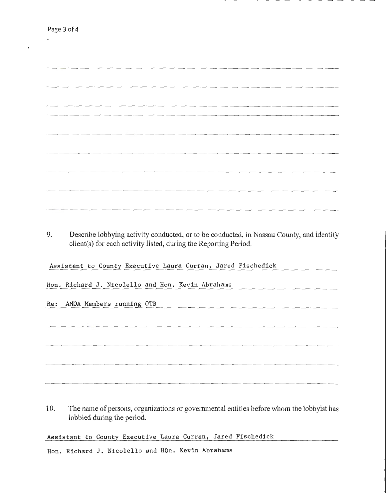$\ddot{\phantom{a}}$ 

 $\ddot{\phantom{0}}$ 

| 9. | Describe lobbying activity conducted, or to be conducted, in Nassau County, and identify |  |  |
|----|------------------------------------------------------------------------------------------|--|--|
|    |                                                                                          |  |  |
|    | client(s) for each activity listed, during the Reporting Period.                         |  |  |
|    |                                                                                          |  |  |
|    |                                                                                          |  |  |
|    |                                                                                          |  |  |
|    |                                                                                          |  |  |
|    |                                                                                          |  |  |
|    | Assistant to County Executive Laura Curran, Jared Fischedick                             |  |  |
|    |                                                                                          |  |  |

Hon. Richard J. Nicolello and Hon. Kevin Abrahams

Re: AMOA Members running OTB

10. The name of persons, organizations or governmental entities before whom the lobbyist has lobbied during the period.

Assistant to County Executive Laura Curran, Jared Fischedick

Hon. Richard J. Nicolello and HOn. Kevin Abrahams